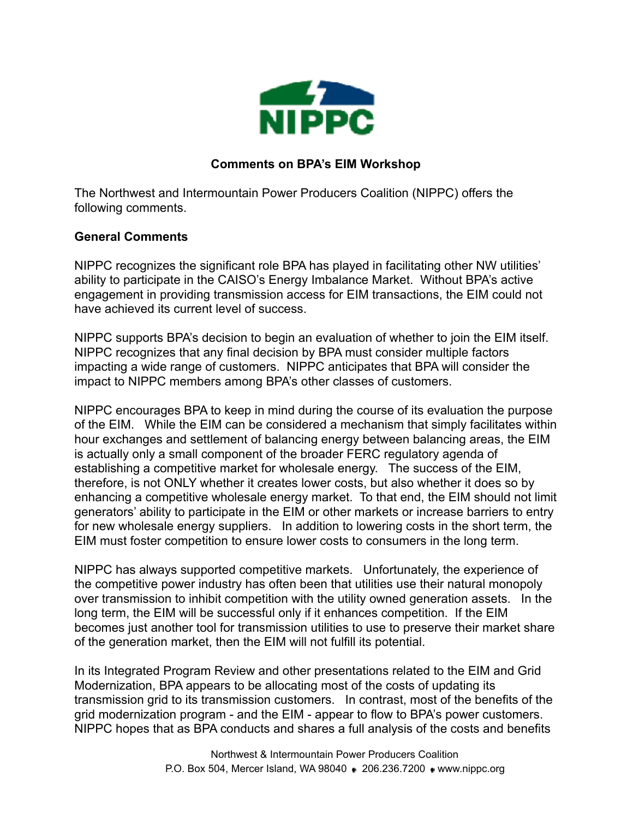

## **Comments on BPA's EIM Workshop**

The Northwest and Intermountain Power Producers Coalition (NIPPC) offers the following comments.

## **General Comments**

NIPPC recognizes the significant role BPA has played in facilitating other NW utilities' ability to participate in the CAISO's Energy Imbalance Market. Without BPA's active engagement in providing transmission access for EIM transactions, the EIM could not have achieved its current level of success.

NIPPC supports BPA's decision to begin an evaluation of whether to join the EIM itself. NIPPC recognizes that any final decision by BPA must consider multiple factors impacting a wide range of customers. NIPPC anticipates that BPA will consider the impact to NIPPC members among BPA's other classes of customers.

NIPPC encourages BPA to keep in mind during the course of its evaluation the purpose of the EIM. While the EIM can be considered a mechanism that simply facilitates within hour exchanges and settlement of balancing energy between balancing areas, the EIM is actually only a small component of the broader FERC regulatory agenda of establishing a competitive market for wholesale energy. The success of the EIM, therefore, is not ONLY whether it creates lower costs, but also whether it does so by enhancing a competitive wholesale energy market. To that end, the EIM should not limit generators' ability to participate in the EIM or other markets or increase barriers to entry for new wholesale energy suppliers. In addition to lowering costs in the short term, the EIM must foster competition to ensure lower costs to consumers in the long term.

NIPPC has always supported competitive markets. Unfortunately, the experience of the competitive power industry has often been that utilities use their natural monopoly over transmission to inhibit competition with the utility owned generation assets. In the long term, the EIM will be successful only if it enhances competition. If the EIM becomes just another tool for transmission utilities to use to preserve their market share of the generation market, then the EIM will not fulfill its potential.

In its Integrated Program Review and other presentations related to the EIM and Grid Modernization, BPA appears to be allocating most of the costs of updating its transmission grid to its transmission customers. In contrast, most of the benefits of the grid modernization program - and the EIM - appear to flow to BPA's power customers. NIPPC hopes that as BPA conducts and shares a full analysis of the costs and benefits